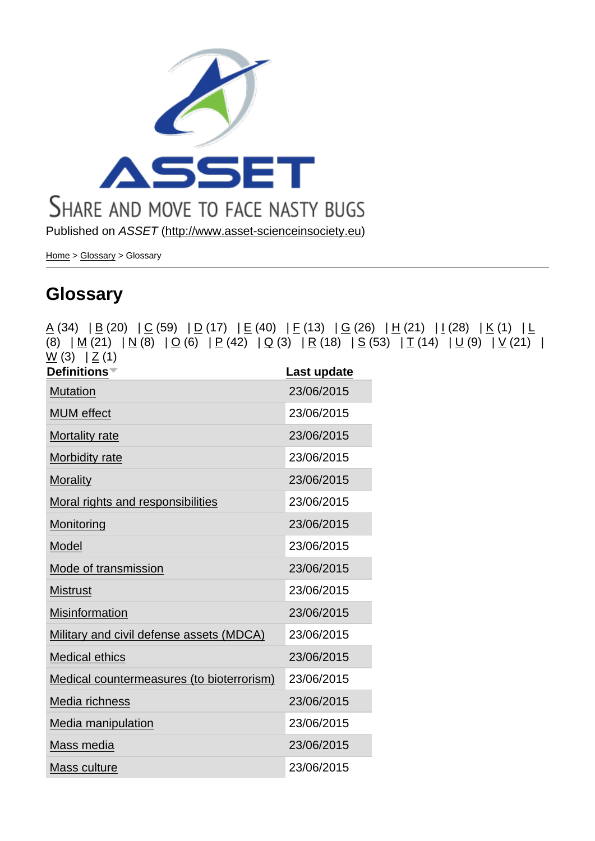Published on ASSET (http://www.asset-scienceinsociety.eu)

Home > Glossary > Glossary

## **[Glo](http://www.asset-scienceinsociety.eu/)[ssary](http://www.asset-scienceinsociety.eu/outputs/glossary)**

|                                                             | $\underline{A}$ (34) $\underline{B}$ (20) $\underline{C}$ (59) $\underline{D}$ (17) $\underline{E}$ (40) $\underline{F}$ (13) $\underline{G}$ (26) $\underline{H}$ (21) $\underline{I}$ (28) $\underline{K}$ (1) $\underline{L}$<br>(8) $ M(21)   N(8)   Q(6)   P(42)   Q(3)   R(18)   S(53)   I(14)   U(9)   V(21)$ |  |
|-------------------------------------------------------------|----------------------------------------------------------------------------------------------------------------------------------------------------------------------------------------------------------------------------------------------------------------------------------------------------------------------|--|
| $\underline{W}(3)   \underline{Z}(1)$<br><b>Definitions</b> | Last update                                                                                                                                                                                                                                                                                                          |  |
| <b>Mutation</b>                                             | 23/06/2015                                                                                                                                                                                                                                                                                                           |  |
| <b>MUM</b> effect                                           | 23/06/2015                                                                                                                                                                                                                                                                                                           |  |
| Mortality rate                                              | 23/06/2015                                                                                                                                                                                                                                                                                                           |  |
| Morbidity rate                                              | 23/06/2015                                                                                                                                                                                                                                                                                                           |  |
| <b>Morality</b>                                             | 23/06/2015                                                                                                                                                                                                                                                                                                           |  |
| Moral rights and responsibilities                           | 23/06/2015                                                                                                                                                                                                                                                                                                           |  |
| Monitoring                                                  | 23/06/2015                                                                                                                                                                                                                                                                                                           |  |
| Model                                                       | 23/06/2015                                                                                                                                                                                                                                                                                                           |  |
| Mode of transmission                                        | 23/06/2015                                                                                                                                                                                                                                                                                                           |  |
| <b>Mistrust</b>                                             | 23/06/2015                                                                                                                                                                                                                                                                                                           |  |
| Misinformation                                              | 23/06/2015                                                                                                                                                                                                                                                                                                           |  |
| Military and civil defense assets (MDCA)                    | 23/06/2015                                                                                                                                                                                                                                                                                                           |  |
| <b>Medical ethics</b>                                       | 23/06/2015                                                                                                                                                                                                                                                                                                           |  |
| Medical countermeasures (to bioterrorism)                   | 23/06/2015                                                                                                                                                                                                                                                                                                           |  |
| Media richness                                              | 23/06/2015                                                                                                                                                                                                                                                                                                           |  |
| Media manipulation                                          | 23/06/2015                                                                                                                                                                                                                                                                                                           |  |
| Mass media                                                  | 23/06/2015                                                                                                                                                                                                                                                                                                           |  |
| Mass culture                                                | 23/06/2015                                                                                                                                                                                                                                                                                                           |  |